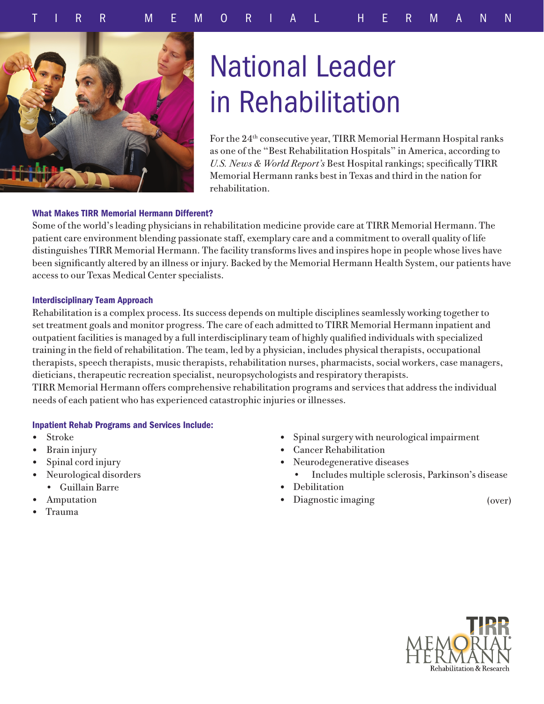

# National Leader in Rehabilitation

For the 24th consecutive year, TIRR Memorial Hermann Hospital ranks as one of the "Best Rehabilitation Hospitals" in America, according to *U.S. News & World Report's* Best Hospital rankings; specifically TIRR Memorial Hermann ranks best in Texas and third in the nation for rehabilitation.

## What Makes TIRR Memorial Hermann Different?

Some of the world's leading physicians in rehabilitation medicine provide care at TIRR Memorial Hermann. The patient care environment blending passionate staff, exemplary care and a commitment to overall quality of life distinguishes TIRR Memorial Hermann. The facility transforms lives and inspires hope in people whose lives have been significantly altered by an illness or injury. Backed by the Memorial Hermann Health System, our patients have access to our Texas Medical Center specialists.

## Interdisciplinary Team Approach

Rehabilitation is a complex process. Its success depends on multiple disciplines seamlessly working together to set treatment goals and monitor progress. The care of each admitted to TIRR Memorial Hermann inpatient and outpatient facilities is managed by a full interdisciplinary team of highly qualified individuals with specialized training in the field of rehabilitation. The team, led by a physician, includes physical therapists, occupational therapists, speech therapists, music therapists, rehabilitation nurses, pharmacists, social workers, case managers, dieticians, therapeutic recreation specialist, neuropsychologists and respiratory therapists.

TIRR Memorial Hermann offers comprehensive rehabilitation programs and services that address the individual needs of each patient who has experienced catastrophic injuries or illnesses.

# Inpatient Rehab Programs and Services Include:

- Stroke
- Brain injury
- Spinal cord injury
- Neurological disorders
	- Guillain Barre
- **Amputation**
- Trauma
- Spinal surgery with neurological impairment
- Cancer Rehabilitation
- Neurodegenerative diseases
	- Includes multiple sclerosis, Parkinson's disease
- Debilitation
- Diagnostic imaging (over)